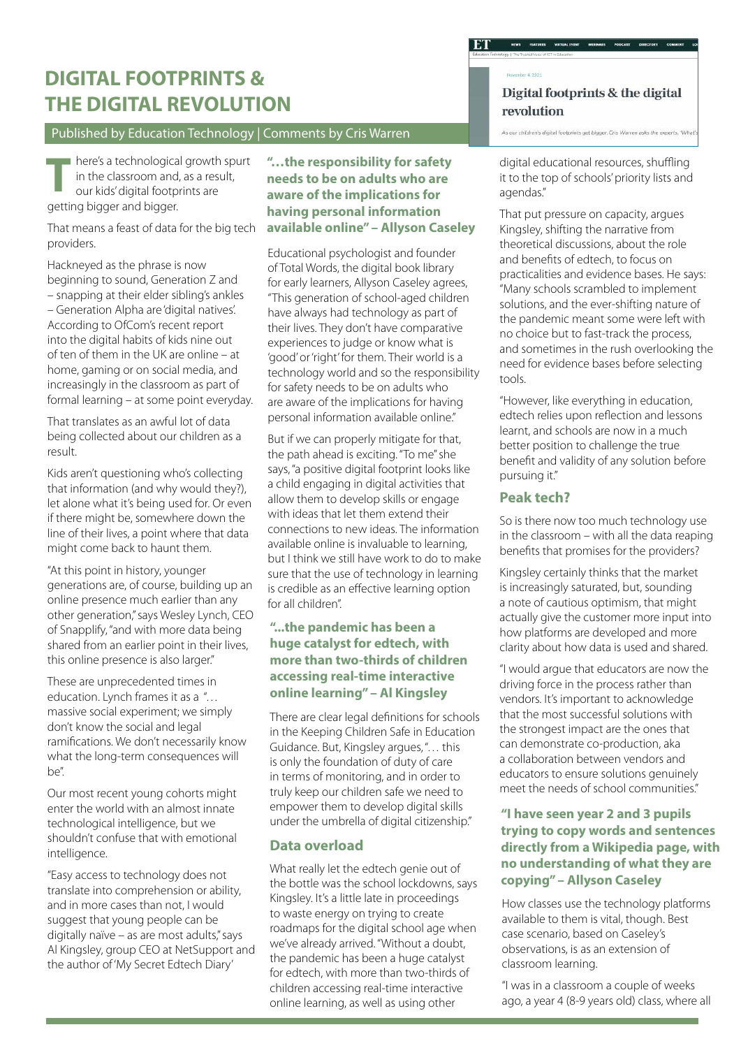# **DIGITAL FOOTPRINTS & THE DIGITAL REVOLUTION**

#### Published by Education Technology | Comments by Cris Warren

here's a technological growth spurt in the classroom and, as a result, our kids' digital footprints are **T** getting bigger and bigger.

That means a feast of data for the big tech providers.

Hackneyed as the phrase is now beginning to sound, Generation Z and – snapping at their elder sibling's ankles – Generation Alpha are 'digital natives'. According to OfCom's recent report into the digital habits of kids nine out of ten of them in the UK are online – at home, gaming or on social media, and increasingly in the classroom as part of formal learning – at some point everyday.

That translates as an awful lot of data being collected about our children as a result.

Kids aren't questioning who's collecting that information (and why would they?), let alone what it's being used for. Or even if there might be, somewhere down the line of their lives, a point where that data might come back to haunt them.

"At this point in history, younger generations are, of course, building up an online presence much earlier than any other generation," says Wesley Lynch, CEO of Snapplify, "and with more data being shared from an earlier point in their lives, this online presence is also larger."

These are unprecedented times in education. Lynch frames it as a "… massive social experiment; we simply don't know the social and legal ramifications. We don't necessarily know what the long-term consequences will be".

Our most recent young cohorts might enter the world with an almost innate technological intelligence, but we shouldn't confuse that with emotional intelligence.

"Easy access to technology does not translate into comprehension or ability, and in more cases than not, I would suggest that young people can be digitally naïve – as are most adults," says Al Kingsley, group CEO at NetSupport and the author of 'My Secret Edtech Diary'

**"…the responsibility for safety needs to be on adults who are aware of the implications for having personal information available online" – Allyson Caseley**

Educational psychologist and founder of Total Words, the digital book library for early learners, Allyson Caseley agrees, "This generation of school-aged children have always had technology as part of their lives. They don't have comparative experiences to judge or know what is 'good' or 'right' for them. Their world is a technology world and so the responsibility for safety needs to be on adults who are aware of the implications for having personal information available online."

But if we can properly mitigate for that, the path ahead is exciting. "To me" she says, "a positive digital footprint looks like a child engaging in digital activities that allow them to develop skills or engage with ideas that let them extend their connections to new ideas. The information available online is invaluable to learning, but I think we still have work to do to make sure that the use of technology in learning is credible as an effective learning option for all children".

#### **"...the pandemic has been a huge catalyst for edtech, with more than two-thirds of children accessing real-time interactive online learning" – Al Kingsley**

There are clear legal definitions for schools in the Keeping Children Safe in Education Guidance. But, Kingsley argues, "… this is only the foundation of duty of care in terms of monitoring, and in order to truly keep our children safe we need to empower them to develop digital skills under the umbrella of digital citizenship."

### **Data overload**

What really let the edtech genie out of the bottle was the school lockdowns, says Kingsley. It's a little late in proceedings to waste energy on trying to create roadmaps for the digital school age when we've already arrived. "Without a doubt, the pandemic has been a huge catalyst for edtech, with more than two-thirds of children accessing real-time interactive online learning, as well as using other

Digital footprints & the digital revolution

digital educational resources, shuffling it to the top of schools' priority lists and agendas."

.<br>As our children's digital footprints get bigger, Cris Warren asks the experts, 'What

That put pressure on capacity, argues Kingsley, shifting the narrative from theoretical discussions, about the role and benefits of edtech, to focus on practicalities and evidence bases. He says: "Many schools scrambled to implement solutions, and the ever-shifting nature of the pandemic meant some were left with no choice but to fast-track the process, and sometimes in the rush overlooking the need for evidence bases before selecting tools.

"However, like everything in education, edtech relies upon reflection and lessons learnt, and schools are now in a much better position to challenge the true benefit and validity of any solution before pursuing it."

# **Peak tech?**

So is there now too much technology use in the classroom – with all the data reaping benefits that promises for the providers?

Kingsley certainly thinks that the market is increasingly saturated, but, sounding a note of cautious optimism, that might actually give the customer more input into how platforms are developed and more clarity about how data is used and shared.

"I would argue that educators are now the driving force in the process rather than vendors. It's important to acknowledge that the most successful solutions with the strongest impact are the ones that can demonstrate co-production, aka a collaboration between vendors and educators to ensure solutions genuinely meet the needs of school communities."

## **"I have seen year 2 and 3 pupils trying to copy words and sentences directly from a Wikipedia page, with no understanding of what they are copying" – Allyson Caseley**

How classes use the technology platforms available to them is vital, though. Best case scenario, based on Caseley's observations, is as an extension of classroom learning.

"I was in a classroom a couple of weeks ago, a year 4 (8-9 years old) class, where all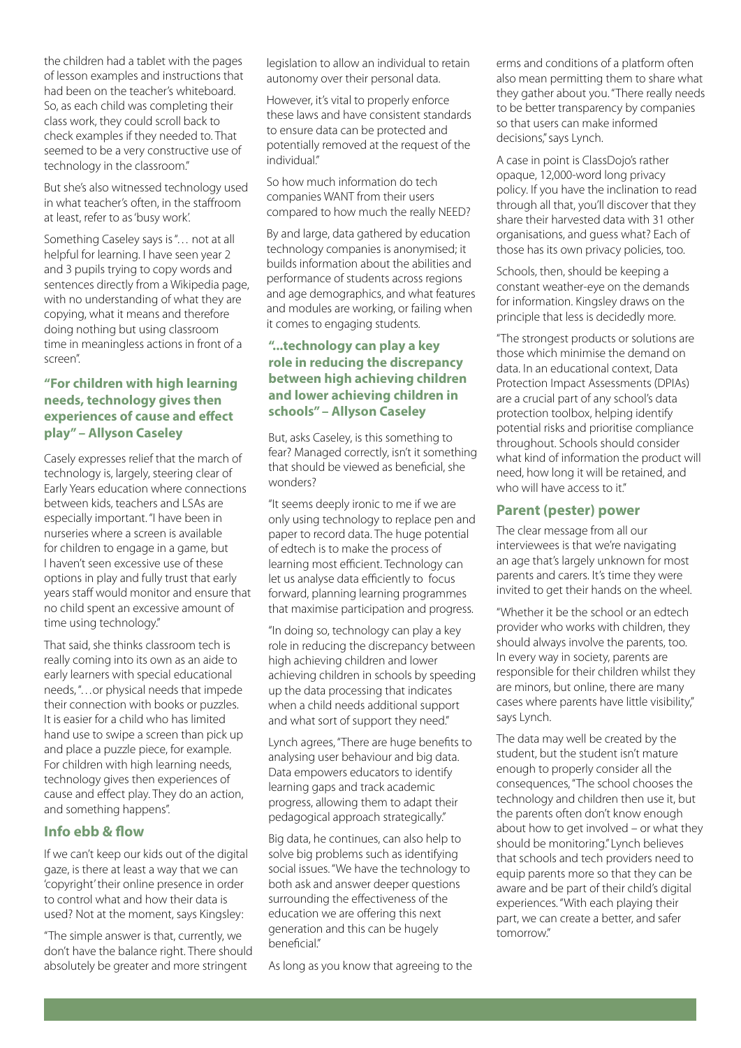the children had a tablet with the pages of lesson examples and instructions that had been on the teacher's whiteboard. So, as each child was completing their class work, they could scroll back to check examples if they needed to. That seemed to be a very constructive use of technology in the classroom."

But she's also witnessed technology used in what teacher's often, in the staffroom at least, refer to as 'busy work'.

Something Caseley says is "… not at all helpful for learning. I have seen year 2 and 3 pupils trying to copy words and sentences directly from a Wikipedia page, with no understanding of what they are copying, what it means and therefore doing nothing but using classroom time in meaningless actions in front of a screen".

## **"For children with high learning needs, technology gives then experiences of cause and effect play" – Allyson Caseley** But, asks Caseley, is this something to

Casely expresses relief that the march of technology is, largely, steering clear of Early Years education where connections between kids, teachers and LSAs are especially important. "I have been in nurseries where a screen is available for children to engage in a game, but I haven't seen excessive use of these options in play and fully trust that early years staff would monitor and ensure that no child spent an excessive amount of time using technology."

That said, she thinks classroom tech is really coming into its own as an aide to early learners with special educational needs, "…or physical needs that impede their connection with books or puzzles. It is easier for a child who has limited hand use to swipe a screen than pick up and place a puzzle piece, for example. For children with high learning needs, technology gives then experiences of cause and effect play. They do an action, and something happens".

### **Info ebb & flow**

If we can't keep our kids out of the digital gaze, is there at least a way that we can 'copyright' their online presence in order to control what and how their data is used? Not at the moment, says Kingsley:

"The simple answer is that, currently, we don't have the balance right. There should absolutely be greater and more stringent

legislation to allow an individual to retain autonomy over their personal data.

However, it's vital to properly enforce these laws and have consistent standards to ensure data can be protected and potentially removed at the request of the individual"

So how much information do tech companies WANT from their users compared to how much the really NEED?

By and large, data gathered by education technology companies is anonymised; it builds information about the abilities and performance of students across regions and age demographics, and what features and modules are working, or failing when it comes to engaging students.

### **"...technology can play a key role in reducing the discrepancy between high achieving children and lower achieving children in schools" – Allyson Caseley**

fear? Managed correctly, isn't it something that should be viewed as beneficial, she wonders?

"It seems deeply ironic to me if we are only using technology to replace pen and paper to record data. The huge potential of edtech is to make the process of learning most efficient. Technology can let us analyse data efficiently to focus forward, planning learning programmes that maximise participation and progress.

"In doing so, technology can play a key role in reducing the discrepancy between high achieving children and lower achieving children in schools by speeding up the data processing that indicates when a child needs additional support and what sort of support they need."

Lynch agrees, "There are huge benefits to analysing user behaviour and big data. Data empowers educators to identify learning gaps and track academic progress, allowing them to adapt their pedagogical approach strategically."

Big data, he continues, can also help to solve big problems such as identifying social issues. "We have the technology to both ask and answer deeper questions surrounding the effectiveness of the education we are offering this next generation and this can be hugely beneficial."

As long as you know that agreeing to the

erms and conditions of a platform often also mean permitting them to share what they gather about you. "There really needs to be better transparency by companies so that users can make informed decisions," says Lynch.

A case in point is ClassDojo's rather opaque, 12,000-word long privacy policy. If you have the inclination to read through all that, you'll discover that they share their harvested data with 31 other organisations, and guess what? Each of those has its own privacy policies, too.

Schools, then, should be keeping a constant weather-eye on the demands for information. Kingsley draws on the principle that less is decidedly more.

"The strongest products or solutions are those which minimise the demand on data. In an educational context, Data Protection Impact Assessments (DPIAs) are a crucial part of any school's data protection toolbox, helping identify potential risks and prioritise compliance throughout. Schools should consider what kind of information the product will need, how long it will be retained, and who will have access to it."

#### **Parent (pester) power**

The clear message from all our interviewees is that we're navigating an age that's largely unknown for most parents and carers. It's time they were invited to get their hands on the wheel.

"Whether it be the school or an edtech provider who works with children, they should always involve the parents, too. In every way in society, parents are responsible for their children whilst they are minors, but online, there are many cases where parents have little visibility," says Lynch.

The data may well be created by the student, but the student isn't mature enough to properly consider all the consequences, "The school chooses the technology and children then use it, but the parents often don't know enough about how to get involved – or what they should be monitoring." Lynch believes that schools and tech providers need to equip parents more so that they can be aware and be part of their child's digital experiences. "With each playing their part, we can create a better, and safer tomorrow."